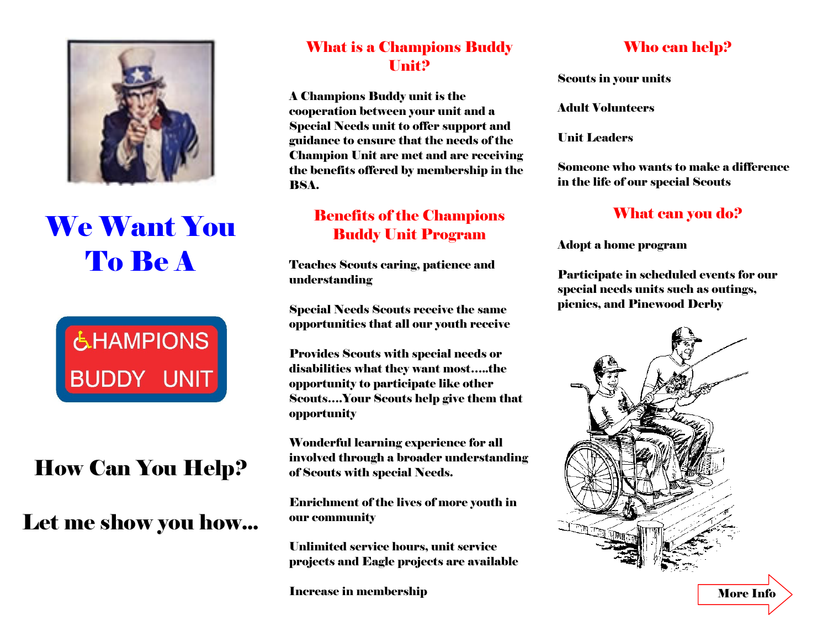

# We Want You To Be A



## How Can You Help?

### Let me show you how...

#### What is a Champions Buddy Unit?

A Champions Buddy unit is the cooperation between your unit and a Special Needs unit to offer support and guidance to ensure that the needs of the Champion Unit are met and are receiving the benefits offered by membership in the BSA.

#### Benefits of the Champions Buddy Unit Program

Teaches Scouts caring, patience and understanding

Special Needs Scouts receive the same opportunities that all our youth receive

Provides Scouts with special needs or disabilities what they want most…..the opportunity to participate like other Scouts….Your Scouts help give them that opportunity

Wonderful learning experience for all involved through a broader understanding of Scouts with special Needs.

Enrichment of the lives of more youth in our community

Unlimited service hours, unit service projects and Eagle projects are available

Increase in membership

#### Who can help?

Scouts in your units

Adult Volunteers

Unit Leaders

Someone who wants to make a difference in the life of our special Scouts

#### What can you do?

Adopt a home program

Participate in scheduled events for our special needs units such as outings, picnics, and Pinewood Derby